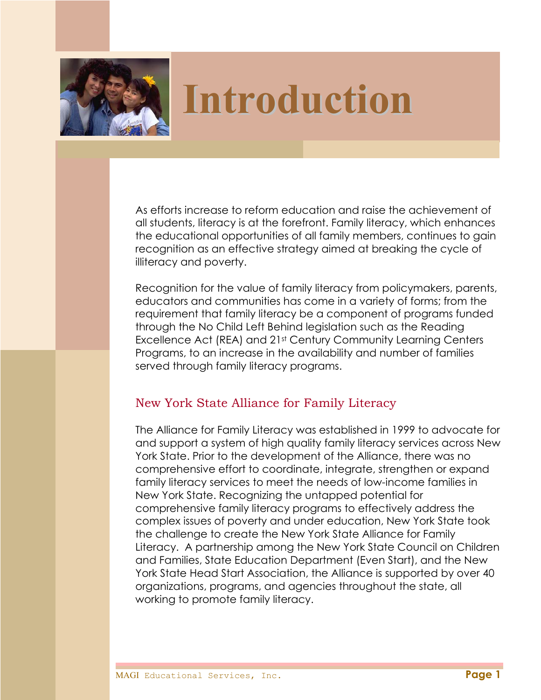

# **Introduction**

As efforts increase to reform education and raise the achievement of all students, literacy is at the forefront. Family literacy, which enhances the educational opportunities of all family members, continues to gain recognition as an effective strategy aimed at breaking the cycle of illiteracy and poverty.

Recognition for the value of family literacy from policymakers, parents, educators and communities has come in a variety of forms; from the requirement that family literacy be a component of programs funded through the No Child Left Behind legislation such as the Reading Excellence Act (REA) and 21<sup>st</sup> Century Community Learning Centers Programs, to an increase in the availability and number of families served through family literacy programs.

## New York State Alliance for Family Literacy

The Alliance for Family Literacy was established in 1999 to advocate for and support a system of high quality family literacy services across New York State. Prior to the development of the Alliance, there was no comprehensive effort to coordinate, integrate, strengthen or expand family literacy services to meet the needs of low-income families in New York State. Recognizing the untapped potential for comprehensive family literacy programs to effectively address the complex issues of poverty and under education, New York State took the challenge to create the New York State Alliance for Family Literacy. A partnership among the New York State Council on Children and Families, State Education Department (Even Start), and the New York State Head Start Association, the Alliance is supported by over 40 organizations, programs, and agencies throughout the state, all working to promote family literacy.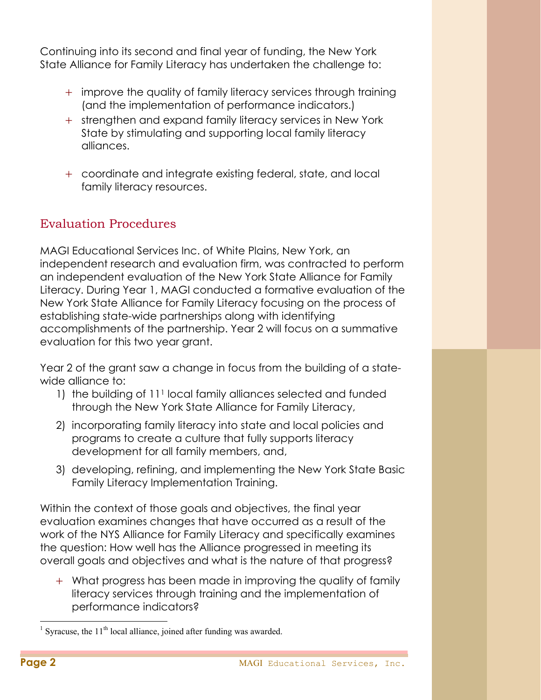Continuing into its second and final year of funding, the New York State Alliance for Family Literacy has undertaken the challenge to:

- + improve the quality of family literacy services through training (and the implementation of performance indicators.)
- + strengthen and expand family literacy services in New York State by stimulating and supporting local family literacy alliances.
- + coordinate and integrate existing federal, state, and local family literacy resources.

# Evaluation Procedures

MAGI Educational Services Inc. of White Plains, New York, an independent research and evaluation firm, was contracted to perform an independent evaluation of the New York State Alliance for Family Literacy. During Year 1, MAGI conducted a formative evaluation of the New York State Alliance for Family Literacy focusing on the process of establishing state-wide partnerships along with identifying accomplishments of the partnership. Year 2 will focus on a summative evaluation for this two year grant.

Year 2 of the grant saw a change in focus from the building of a statewide alliance to:

- 1) the building of 111 local family alliances selected and funded through the New York State Alliance for Family Literacy,
- 2) incorporating family literacy into state and local policies and programs to create a culture that fully supports literacy development for all family members, and,
- 3) developing, refining, and implementing the New York State Basic Family Literacy Implementation Training.

Within the context of those goals and objectives, the final year evaluation examines changes that have occurred as a result of the work of the NYS Alliance for Family Literacy and specifically examines the question: How well has the Alliance progressed in meeting its overall goals and objectives and what is the nature of that progress?

+ What progress has been made in improving the quality of family literacy services through training and the implementation of performance indicators?

 $\frac{1}{1}$  Syracuse, the 11<sup>th</sup> local alliance, joined after funding was awarded.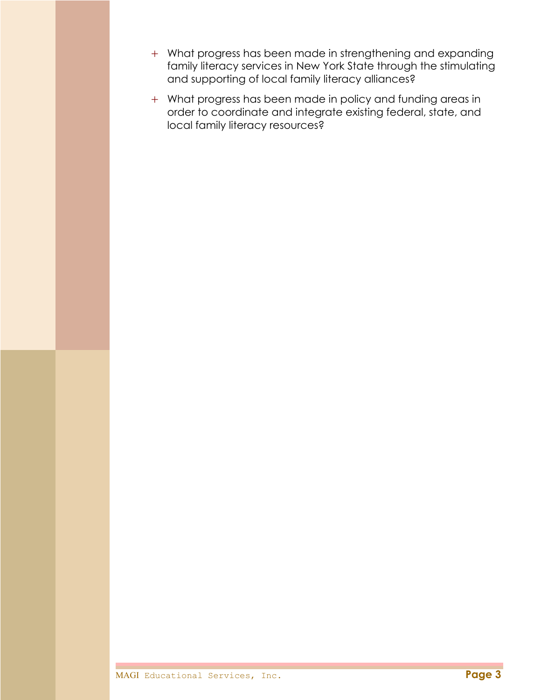- + What progress has been made in strengthening and expanding family literacy services in New York State through the stimulating and supporting of local family literacy alliances?
- + What progress has been made in policy and funding areas in order to coordinate and integrate existing federal, state, and local family literacy resources?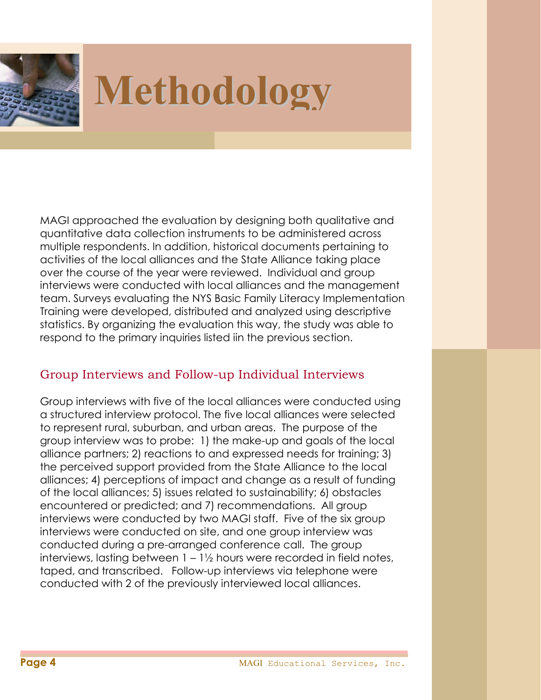

# **Methodology**

MAGI approached the evaluation by designing both qualitative and quantitative data collection instruments to be administered across multiple respondents. In addition, historical documents pertaining to activities of the local alliances and the State Alliance taking place over the course of the year were reviewed. Individual and group interviews were conducted with local alliances and the management team. Surveys evaluating the NYS Basic Family Literacy Implementation Training were developed, distributed and analyzed using descriptive statistics. By organizing the evaluation this way, the study was able to respond to the primary inquiries listed iin the previous section.

# Group Interviews and Follow-up Individual Interviews

Group interviews with five of the local alliances were conducted using a structured interview protocol. The five local alliances were selected to represent rural, suburban, and urban areas. The purpose of the group interview was to probe: 1) the make-up and goals of the local alliance partners; 2) reactions to and expressed needs for training; 3) the perceived support provided from the State Alliance to the local alliances; 4) perceptions of impact and change as a result of funding of the local alliances; 5) issues related to sustainability; 6) obstacles encountered or predicted; and 7) recommendations. All group interviews were conducted by two MAGI staff. Five of the six group interviews were conducted on site, and one group interview was conducted during a pre-arranged conference call. The group interviews, lasting between  $1 - 1\frac{1}{2}$  hours were recorded in field notes, taped, and transcribed. Follow-up interviews via telephone were conducted with 2 of the previously interviewed local alliances.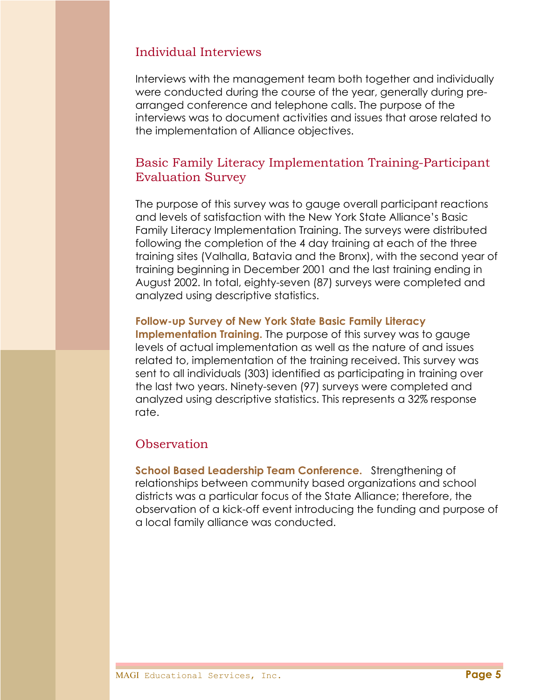# Individual Interviews

Interviews with the management team both together and individually were conducted during the course of the year, generally during prearranged conference and telephone calls. The purpose of the interviews was to document activities and issues that arose related to the implementation of Alliance objectives.

# Basic Family Literacy Implementation Training-Participant Evaluation Survey

The purpose of this survey was to gauge overall participant reactions and levels of satisfaction with the New York State Alliance's Basic Family Literacy Implementation Training. The surveys were distributed following the completion of the 4 day training at each of the three training sites (Valhalla, Batavia and the Bronx), with the second year of training beginning in December 2001 and the last training ending in August 2002. In total, eighty-seven (87) surveys were completed and analyzed using descriptive statistics.

#### **Follow-up Survey of New York State Basic Family Literacy**

**Implementation Training.** The purpose of this survey was to gauge levels of actual implementation as well as the nature of and issues related to, implementation of the training received. This survey was sent to all individuals (303) identified as participating in training over the last two years. Ninety-seven (97) surveys were completed and analyzed using descriptive statistics. This represents a 32% response rate.

## **Observation**

**School Based Leadership Team Conference.** Strengthening of relationships between community based organizations and school districts was a particular focus of the State Alliance; therefore, the observation of a kick-off event introducing the funding and purpose of a local family alliance was conducted.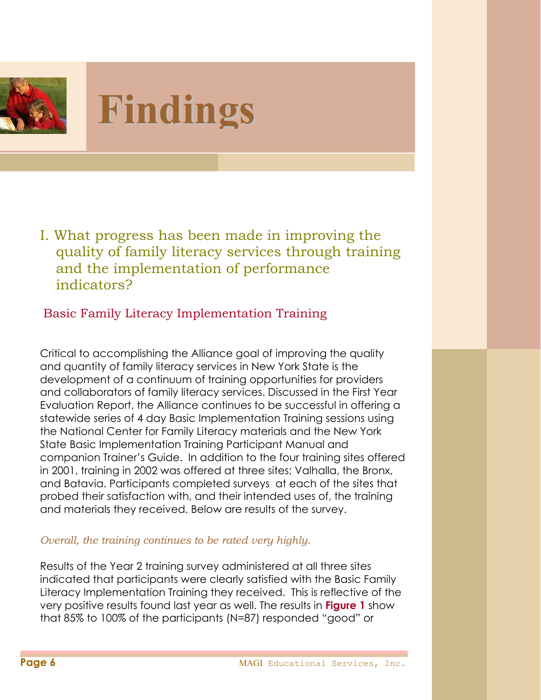

# **Findings**

I. What progress has been made in improving the quality of family literacy services through training and the implementation of performance indicators?

# Basic Family Literacy Implementation Training

Critical to accomplishing the Alliance goal of improving the quality and quantity of family literacy services in New York State is the development of a continuum of training opportunities for providers and collaborators of family literacy services. Discussed in the First Year Evaluation Report, the Alliance continues to be successful in offering a statewide series of 4 day Basic Implementation Training sessions using the National Center for Family Literacy materials and the New York State Basic Implementation Training Participant Manual and companion Trainer's Guide. In addition to the four training sites offered in 2001, training in 2002 was offered at three sites; Valhalla, the Bronx, and Batavia. Participants completed surveys at each of the sites that probed their satisfaction with, and their intended uses of, the training and materials they received. Below are results of the survey.

### *Overall, the training continues to be rated very highly.*

Results of the Year 2 training survey administered at all three sites indicated that participants were clearly satisfied with the Basic Family Literacy Implementation Training they received. This is reflective of the very positive results found last year as well. The results in **Figure 1** show that 85% to 100% of the participants (N=87) responded "good" or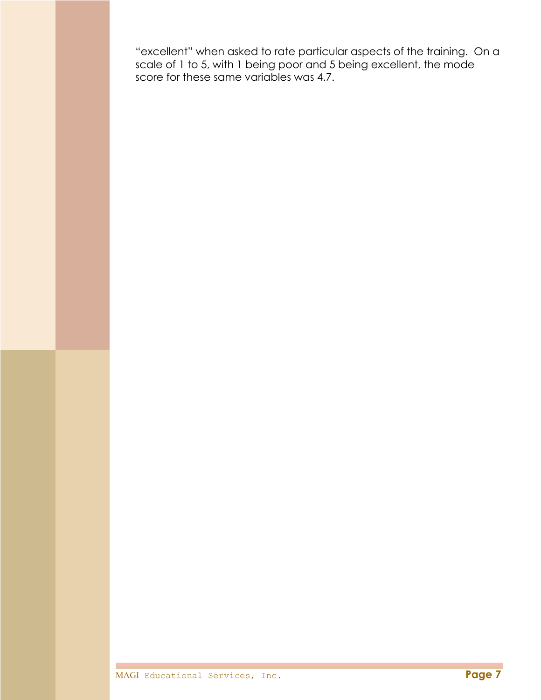"excellent" when asked to rate particular aspects of the training. On a scale of 1 to 5, with 1 being poor and 5 being excellent, the mode score for these same variables was 4.7.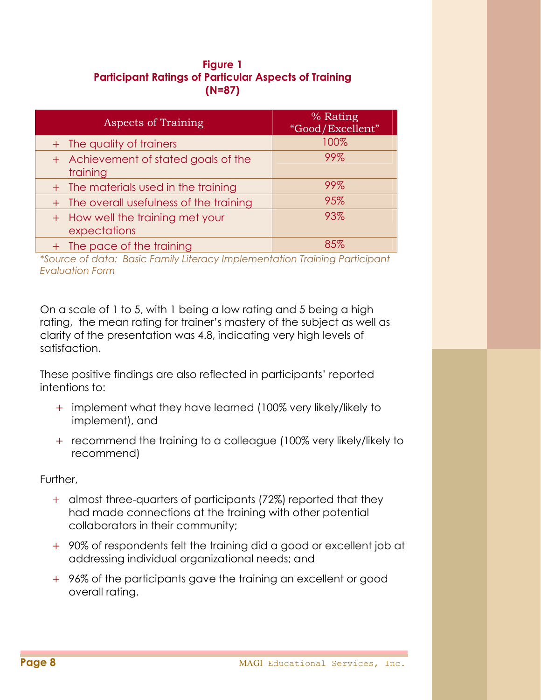### **Figure 1 Participant Ratings of Particular Aspects of Training (N=87)**

| <b>Aspects of Training</b>                       | % Rating<br>"Good/Excellent" |
|--------------------------------------------------|------------------------------|
| + The quality of trainers                        | 100%                         |
| + Achievement of stated goals of the<br>training | 99%                          |
| + The materials used in the training             | 99%                          |
| + The overall usefulness of the training         | 95%                          |
| + How well the training met your<br>expectations | 93%                          |
| + The pace of the training                       | 85%                          |

*\*Source of data: Basic Family Literacy Implementation Training Participant Evaluation Form* 

On a scale of 1 to 5, with 1 being a low rating and 5 being a high rating, the mean rating for trainer's mastery of the subject as well as clarity of the presentation was 4.8, indicating very high levels of satisfaction.

These positive findings are also reflected in participants' reported intentions to:

- + implement what they have learned (100% very likely/likely to implement), and
- + recommend the training to a colleague (100% very likely/likely to recommend)

Further,

- + almost three-quarters of participants (72%) reported that they had made connections at the training with other potential collaborators in their community;
- + 90% of respondents felt the training did a good or excellent job at addressing individual organizational needs; and
- + 96% of the participants gave the training an excellent or good overall rating.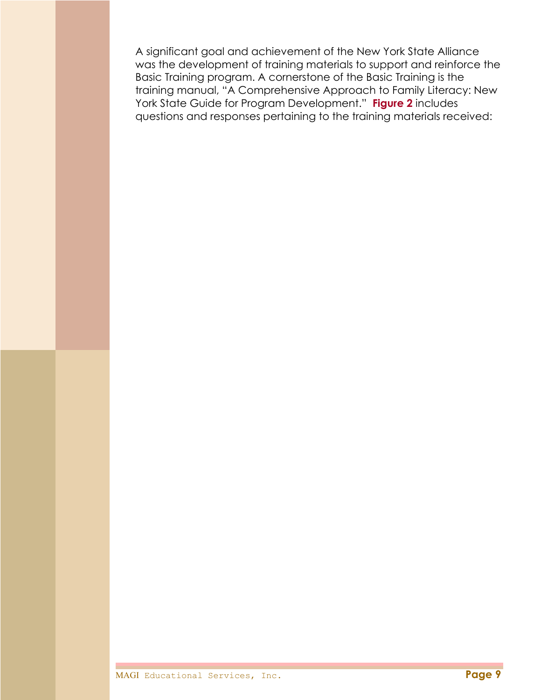A significant goal and achievement of the New York State Alliance was the development of training materials to support and reinforce the Basic Training program. A cornerstone of the Basic Training is the training manual, "A Comprehensive Approach to Family Literacy: New York State Guide for Program Development." **Figure 2** includes questions and responses pertaining to the training materials received: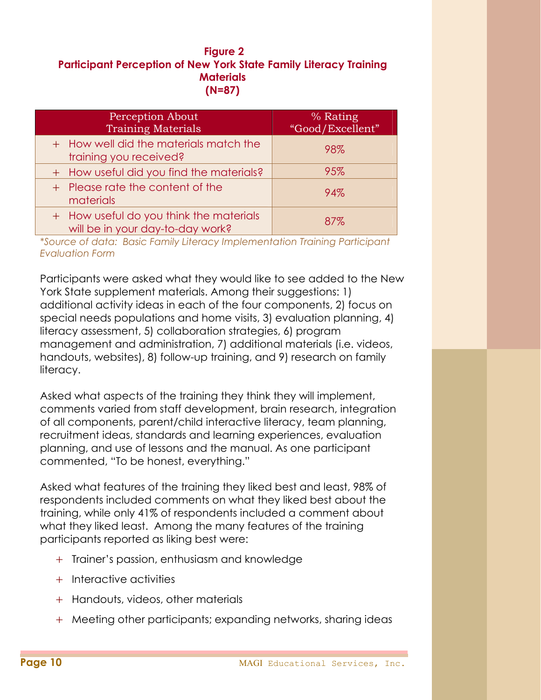### **Figure 2 Participant Perception of New York State Family Literacy Training Materials (N=87)**

| Perception About<br><b>Training Materials</b>                               | % Rating<br>"Good/Excellent" |
|-----------------------------------------------------------------------------|------------------------------|
| + How well did the materials match the<br>training you received?            | 98%                          |
| + How useful did you find the materials?                                    | 95%                          |
| + Please rate the content of the<br>materials                               | 94%                          |
| + How useful do you think the materials<br>will be in your day-to-day work? | 87%                          |

*\*Source of data: Basic Family Literacy Implementation Training Participant Evaluation Form* 

Participants were asked what they would like to see added to the New York State supplement materials. Among their suggestions: 1) additional activity ideas in each of the four components, 2) focus on special needs populations and home visits, 3) evaluation planning, 4) literacy assessment, 5) collaboration strategies, 6) program management and administration, 7) additional materials (i.e. videos, handouts, websites), 8) follow-up training, and 9) research on family literacy.

Asked what aspects of the training they think they will implement, comments varied from staff development, brain research, integration of all components, parent/child interactive literacy, team planning, recruitment ideas, standards and learning experiences, evaluation planning, and use of lessons and the manual. As one participant commented, "To be honest, everything."

Asked what features of the training they liked best and least, 98% of respondents included comments on what they liked best about the training, while only 41% of respondents included a comment about what they liked least. Among the many features of the training participants reported as liking best were:

- + Trainer's passion, enthusiasm and knowledge
- + Interactive activities
- + Handouts, videos, other materials
- + Meeting other participants; expanding networks, sharing ideas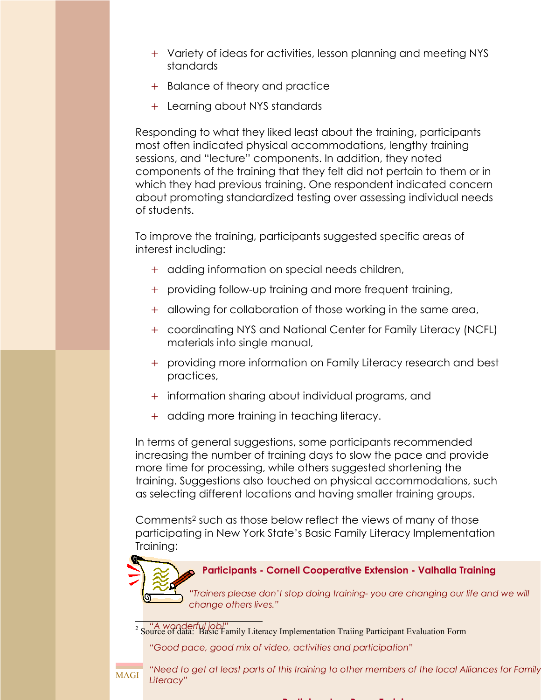- + Variety of ideas for activities, lesson planning and meeting NYS standards
- + Balance of theory and practice
- + Learning about NYS standards

Responding to what they liked least about the training, participants most often indicated physical accommodations, lengthy training sessions, and "lecture" components. In addition, they noted components of the training that they felt did not pertain to them or in which they had previous training. One respondent indicated concern about promoting standardized testing over assessing individual needs of students.

To improve the training, participants suggested specific areas of interest including:

- + adding information on special needs children,
- + providing follow-up training and more frequent training,
- + allowing for collaboration of those working in the same area,
- + coordinating NYS and National Center for Family Literacy (NCFL) materials into single manual,
- + providing more information on Family Literacy research and best practices,
- + information sharing about individual programs, and
- + adding more training in teaching literacy.

In terms of general suggestions, some participants recommended increasing the number of training days to slow the pace and provide more time for processing, while others suggested shortening the training. Suggestions also touched on physical accommodations, such as selecting different locations and having smaller training groups.

Comments2 such as those below reflect the views of many of those participating in New York State's Basic Family Literacy Implementation Training:



# **Participants - Cornell Cooperative Extension - Valhalla Training**

*"Trainers please don't stop doing training- you are changing our life and we will change others lives."* 

*"A wonderful job!"*  2 Source of data: Basic Family Literacy Implementation Traiing Participant Evaluation Form

*"Good pace, good mix of video, activities and participation"* 

MAGI Educational Services, Inc. **Page 11** *"Need to get at least parts of this training to other members of the local Alliances for Family Literacy"* 

**P ti i t B T ii**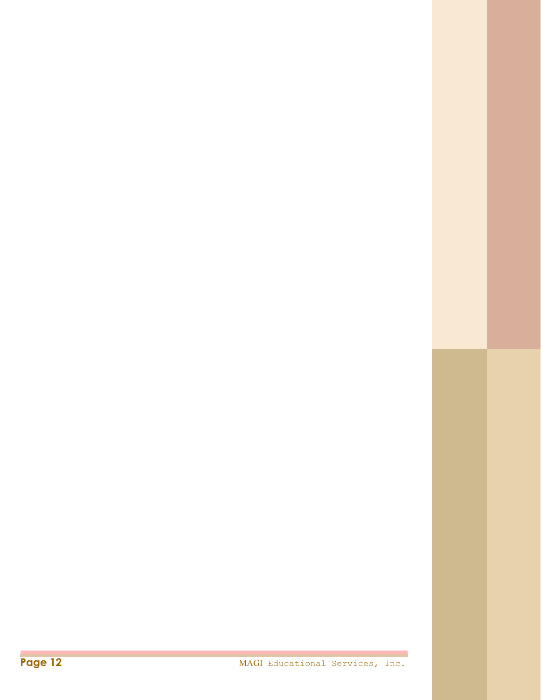**Page 12 MAGI** Educational Services, Inc.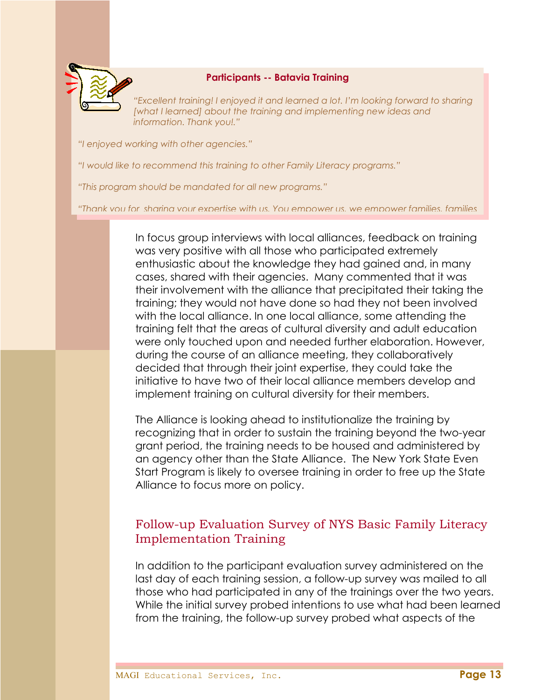

#### **Participants -- Batavia Training**

*"Excellent training! I enjoyed it and learned a lot. I'm looking forward to sharing*  [what I learned] about the training and implementing new ideas and *information. Thank you!."* 

*"I enjoyed working with other agencies."* 

*"I would like to recommend this training to other Family Literacy programs."* 

*"This program should be mandated for all new programs."* 

*"Thank you for sharing your expertise with us. You empower us, we empower families, families*

In focus group interviews with local alliances, feedback on training was very positive with all those who participated extremely enthusiastic about the knowledge they had gained and, in many cases, shared with their agencies. Many commented that it was their involvement with the alliance that precipitated their taking the training; they would not have done so had they not been involved with the local alliance. In one local alliance, some attending the training felt that the areas of cultural diversity and adult education were only touched upon and needed further elaboration. However, during the course of an alliance meeting, they collaboratively decided that through their joint expertise, they could take the initiative to have two of their local alliance members develop and implement training on cultural diversity for their members.

The Alliance is looking ahead to institutionalize the training by recognizing that in order to sustain the training beyond the two-year grant period, the training needs to be housed and administered by an agency other than the State Alliance. The New York State Even Start Program is likely to oversee training in order to free up the State Alliance to focus more on policy.

# Follow-up Evaluation Survey of NYS Basic Family Literacy Implementation Training

In addition to the participant evaluation survey administered on the last day of each training session, a follow-up survey was mailed to all those who had participated in any of the trainings over the two years. While the initial survey probed intentions to use what had been learned from the training, the follow-up survey probed what aspects of the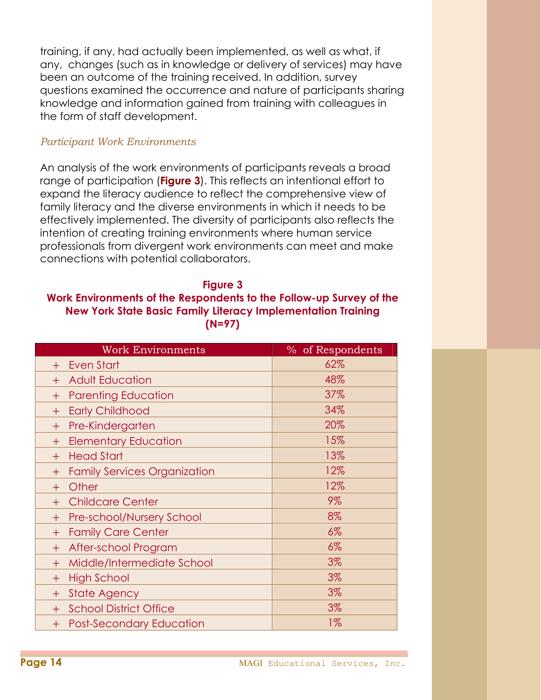training, if any, had actually been implemented, as well as what, if any, changes (such as in knowledge or delivery of services) may have been an outcome of the training received. In addition, survey questions examined the occurrence and nature of participants sharing knowledge and information gained from training with colleagues in the form of staff development.

#### *Participant Work Environments*

An analysis of the work environments of participants reveals a broad range of participation (**Figure 3**). This reflects an intentional effort to expand the literacy audience to reflect the comprehensive view of family literacy and the diverse environments in which it needs to be effectively implemented. The diversity of participants also reflects the intention of creating training environments where human service professionals from divergent work environments can meet and make connections with potential collaborators.

#### **Figure 3 Work Environments of the Respondents to the Follow-up Survey of the New York State Basic Family Literacy Implementation Training (N=97)**

| <b>Work Environments</b>                      | % of Respondents |
|-----------------------------------------------|------------------|
| Even Start<br>$^{+}$                          | 62%              |
| <b>Adult Education</b><br>$^{+}$              | 48%              |
| <b>Parenting Education</b><br>$\pm$           | 37%              |
| <b>Early Childhood</b><br>$+$                 | 34%              |
| Pre-Kindergarten<br>$+$                       | 20%              |
| <b>Elementary Education</b><br>$\pm$          | 15%              |
| <b>Head Start</b><br>$+$                      | 13%              |
| <b>Family Services Organization</b><br>$^{+}$ | 12%              |
| Other<br>$^{+}$                               | 12%              |
| <b>Childcare Center</b><br>$^{+}$             | 9%               |
| Pre-school/Nursery School<br>$^{+}$           | 8%               |
| <b>Family Care Center</b><br>$+$              | $6\%$            |
| After-school Program<br>$^{+}$                | $6\%$            |
| Middle/Intermediate School<br>$+$             | 3%               |
| <b>High School</b><br>$\pm$                   | 3%               |
| <b>State Agency</b><br>$\pm$                  | 3%               |
| <b>School District Office</b><br>$+$          | 3%               |
| <b>Post-Secondary Education</b><br>$\pm$      | $1\%$            |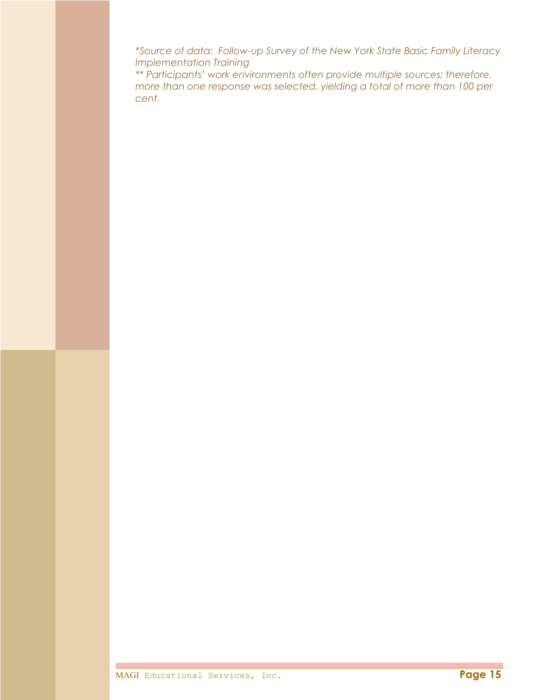*\*Source of data: Follow-up Survey of the New York State Basic Family Literacy Implementation Training* 

*\*\* Participants' work environments often provide multiple sources; therefore, more than one response was selected, yielding a total of more than 100 per cent.*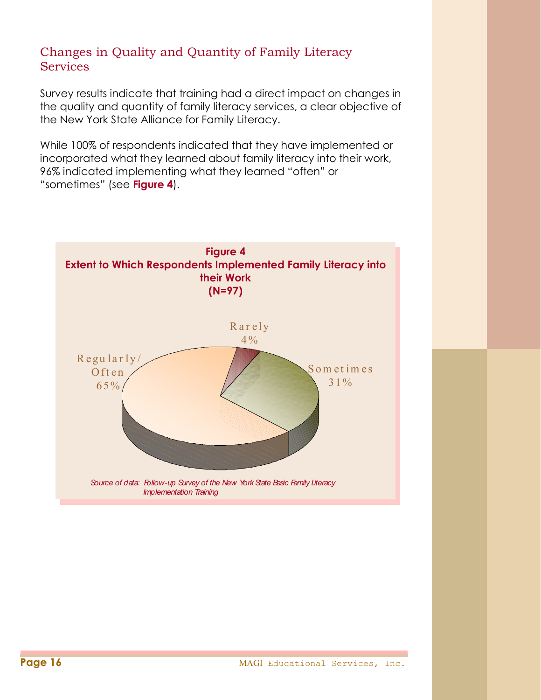# Changes in Quality and Quantity of Family Literacy **Services**

Survey results indicate that training had a direct impact on changes in the quality and quantity of family literacy services, a clear objective of the New York State Alliance for Family Literacy.

While 100% of respondents indicated that they have implemented or incorporated what they learned about family literacy into their work, 96% indicated implementing what they learned "often" or "sometimes" (see **Figure 4**).

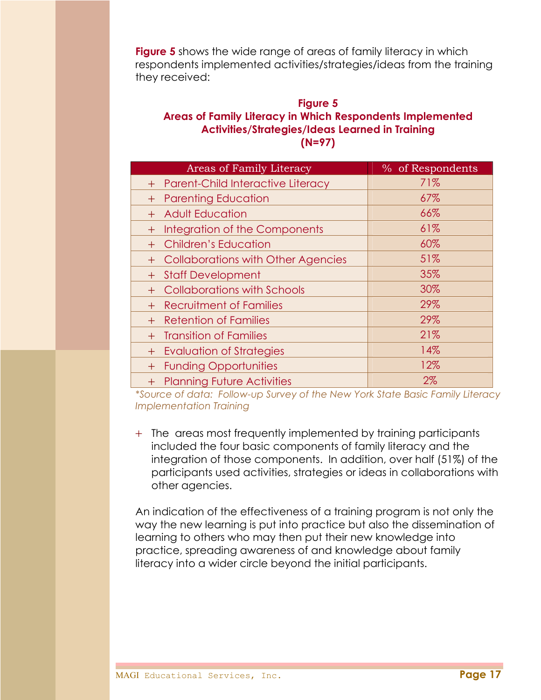**Figure 5** shows the wide range of areas of family literacy in which respondents implemented activities/strategies/ideas from the training they received:

#### **Figure 5**

### **Areas of Family Literacy in Which Respondents Implemented Activities/Strategies/Ideas Learned in Training (N=97)**

| <b>Areas of Family Literacy</b>                    | % of Respondents |
|----------------------------------------------------|------------------|
| + Parent-Child Interactive Literacy                | 71%              |
| <b>Parenting Education</b><br>$\pm$                | 67%              |
| <b>Adult Education</b><br>$+$                      | 66%              |
| Integration of the Components<br>$\pm$             | 61%              |
| <b>Children's Education</b><br>$+$                 | 60%              |
| <b>Collaborations with Other Agencies</b><br>$\pm$ | 51%              |
| <b>Staff Development</b><br>$^{+}$                 | 35%              |
| <b>Collaborations with Schools</b><br>$^{+}$       | 30%              |
| <b>Recruitment of Families</b><br>$+$              | 29%              |
| <b>Retention of Families</b><br>$^{+}$             | 29%              |
| <b>Transition of Families</b><br>$+$               | 21%              |
| Evaluation of Strategies<br>$^{+}$                 | 14%              |
| <b>Funding Opportunities</b><br>$^{+}$             | 12%              |
| <b>Planning Future Activities</b><br>$+$           | 2%               |

*\*Source of data: Follow-up Survey of the New York State Basic Family Literacy Implementation Training* 

+ The areas most frequently implemented by training participants included the four basic components of family literacy and the integration of those components. In addition, over half (51%) of the participants used activities, strategies or ideas in collaborations with other agencies.

An indication of the effectiveness of a training program is not only the way the new learning is put into practice but also the dissemination of learning to others who may then put their new knowledge into practice, spreading awareness of and knowledge about family literacy into a wider circle beyond the initial participants.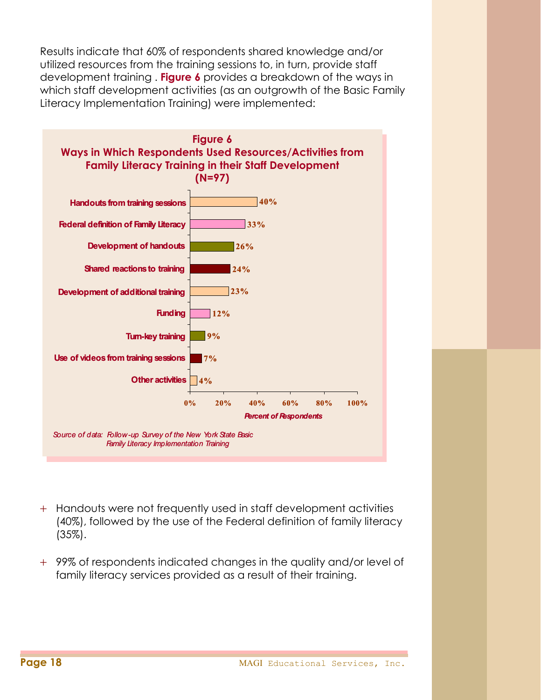Results indicate that 60% of respondents shared knowledge and/or utilized resources from the training sessions to, in turn, provide staff development training . **Figure 6** provides a breakdown of the ways in which staff development activities (as an outgrowth of the Basic Family Literacy Implementation Training) were implemented:



- + Handouts were not frequently used in staff development activities (40%), followed by the use of the Federal definition of family literacy (35%).
- + 99% of respondents indicated changes in the quality and/or level of family literacy services provided as a result of their training.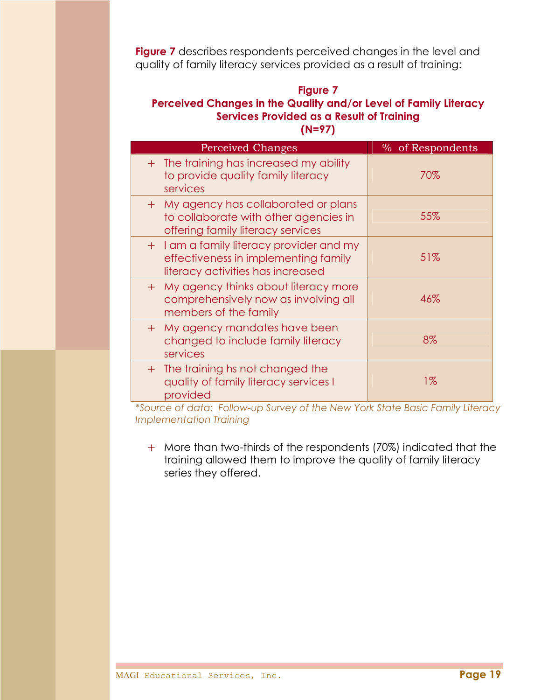**Figure 7** describes respondents perceived changes in the level and quality of family literacy services provided as a result of training:

#### **Figure 7**

#### **Perceived Changes in the Quality and/or Level of Family Literacy Services Provided as a Result of Training (N=97)**

| <b>Perceived Changes</b>                                                                                              | % of Respondents |
|-----------------------------------------------------------------------------------------------------------------------|------------------|
| + The training has increased my ability<br>to provide quality family literacy<br>services                             | 70%              |
| + My agency has collaborated or plans<br>to collaborate with other agencies in<br>offering family literacy services   | 55%              |
| + I am a family literacy provider and my<br>effectiveness in implementing family<br>literacy activities has increased | 51%              |
| + My agency thinks about literacy more<br>comprehensively now as involving all<br>members of the family               | 46%              |
| + My agency mandates have been<br>changed to include family literacy<br>services                                      | $8\%$            |
| + The training hs not changed the<br>quality of family literacy services I<br>provided                                | $1\%$            |

*\*Source of data: Follow-up Survey of the New York State Basic Family Literacy Implementation Training*

+ More than two-thirds of the respondents (70%) indicated that the training allowed them to improve the quality of family literacy series they offered.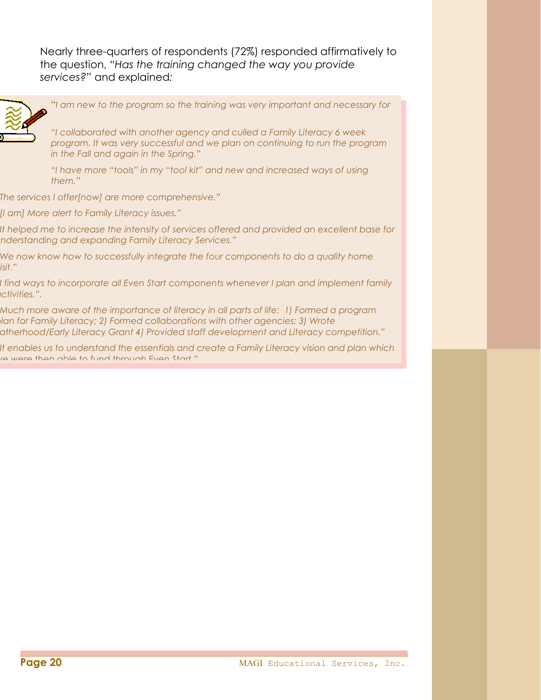Nearly three-quarters of respondents (72%) responded affirmatively to the question, *"Has the training changed the way you provide services?"* and explained*:*



"*I am new to the program so the training was very important and necessary for* 

*"I collaborated with another agency and culled a Family Literacy 6 week program. It was very successful and we plan on continuing to run the program in the Fall and again in the Spring."* 

*"I have more "tools" in my "tool kit" and new and increased ways of using them."* 

*The services I offer[now] are more comprehensive."* 

*[I am] More alert to Family Literacy issues."* 

*It helped me to increase the intensity of services offered and provided an excellent base for understanding and expanding Family Literacy Services."* 

We now know how to successfully integrate the four components to do a quality home *visit."* 

*I find ways to incorporate all Even Start components whenever I plan and implement family activities.".* 

*Much more aware of the importance of literacy in all parts of life: 1) Formed a program plan for Family Literacy; 2) Formed collaborations with other agencies; 3) Wrote atherhood/Early Literacy Grant 4) Provided staff development and Literacy competition."* 

*It enables us to understand the essentials and create a Family Literacy vision and plan which we were then able to fund through Even Start "*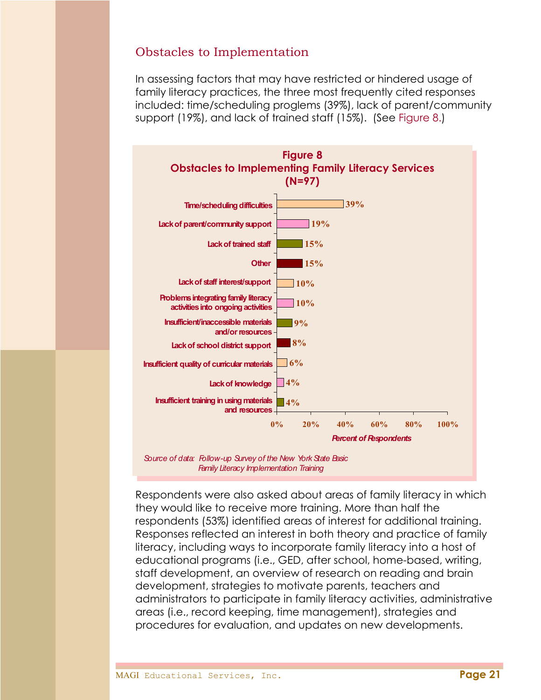# Obstacles to Implementation

In assessing factors that may have restricted or hindered usage of family literacy practices, the three most frequently cited responses included: time/scheduling proglems (39%), lack of parent/community support (19%), and lack of trained staff (15%). (See Figure 8.)



Respondents were also asked about areas of family literacy in which they would like to receive more training. More than half the respondents (53%) identified areas of interest for additional training. Responses reflected an interest in both theory and practice of family literacy, including ways to incorporate family literacy into a host of educational programs (i.e., GED, after school, home-based, writing, staff development, an overview of research on reading and brain development, strategies to motivate parents, teachers and administrators to participate in family literacy activities, administrative areas (i.e., record keeping, time management), strategies and procedures for evaluation, and updates on new developments.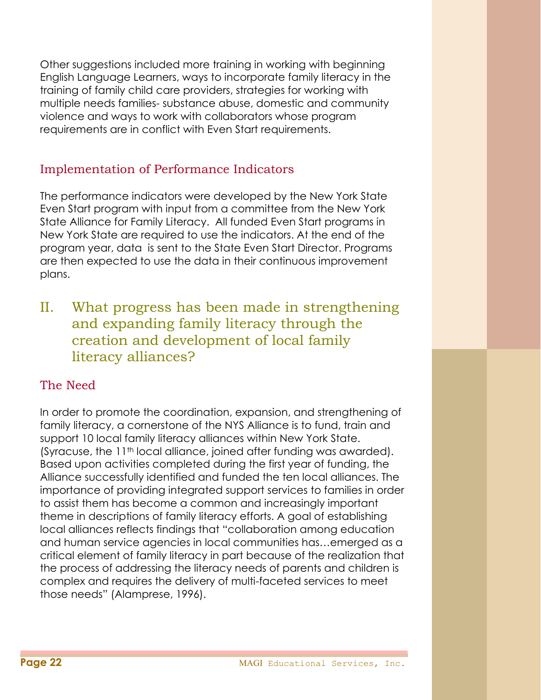Other suggestions included more training in working with beginning English Language Learners, ways to incorporate family literacy in the training of family child care providers, strategies for working with multiple needs families- substance abuse, domestic and community violence and ways to work with collaborators whose program requirements are in conflict with Even Start requirements.

# Implementation of Performance Indicators

The performance indicators were developed by the New York State Even Start program with input from a committee from the New York State Alliance for Family Literacy. All funded Even Start programs in New York State are required to use the indicators. At the end of the program year, data is sent to the State Even Start Director. Programs are then expected to use the data in their continuous improvement plans.

II. What progress has been made in strengthening and expanding family literacy through the creation and development of local family literacy alliances?

# The Need

In order to promote the coordination, expansion, and strengthening of family literacy, a cornerstone of the NYS Alliance is to fund, train and support 10 local family literacy alliances within New York State. (Syracuse, the  $11<sup>th</sup>$  local alliance, joined after funding was awarded). Based upon activities completed during the first year of funding, the Alliance successfully identified and funded the ten local alliances. The importance of providing integrated support services to families in order to assist them has become a common and increasingly important theme in descriptions of family literacy efforts. A goal of establishing local alliances reflects findings that "collaboration among education and human service agencies in local communities has…emerged as a critical element of family literacy in part because of the realization that the process of addressing the literacy needs of parents and children is complex and requires the delivery of multi-faceted services to meet those needs" (Alamprese, 1996).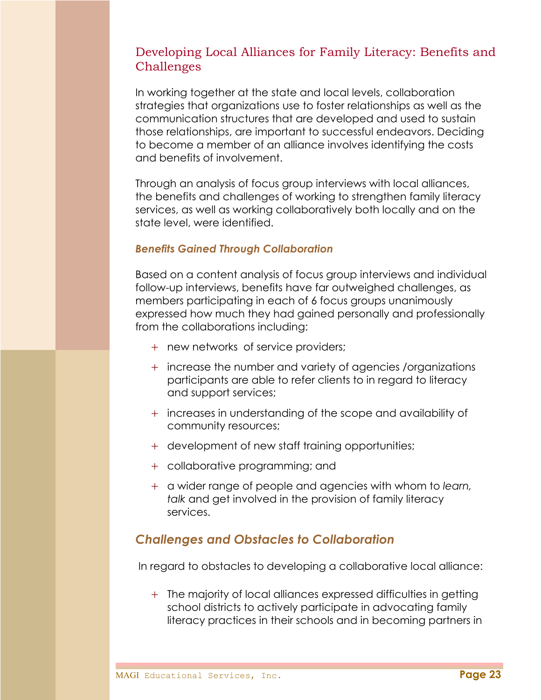# Developing Local Alliances for Family Literacy: Benefits and Challenges

In working together at the state and local levels, collaboration strategies that organizations use to foster relationships as well as the communication structures that are developed and used to sustain those relationships, are important to successful endeavors. Deciding to become a member of an alliance involves identifying the costs and benefits of involvement.

Through an analysis of focus group interviews with local alliances, the benefits and challenges of working to strengthen family literacy services, as well as working collaboratively both locally and on the state level, were identified.

#### *Benefits Gained Through Collaboration*

Based on a content analysis of focus group interviews and individual follow-up interviews, benefits have far outweighed challenges, as members participating in each of 6 focus groups unanimously expressed how much they had gained personally and professionally from the collaborations including:

- + new networks of service providers;
- + increase the number and variety of agencies /organizations participants are able to refer clients to in regard to literacy and support services;
- + increases in understanding of the scope and availability of community resources;
- + development of new staff training opportunities;
- + collaborative programming; and
- + a wider range of people and agencies with whom to *learn, talk* and get involved in the provision of family literacy services.

## *Challenges and Obstacles to Collaboration*

In regard to obstacles to developing a collaborative local alliance:

+ The majority of local alliances expressed difficulties in getting school districts to actively participate in advocating family literacy practices in their schools and in becoming partners in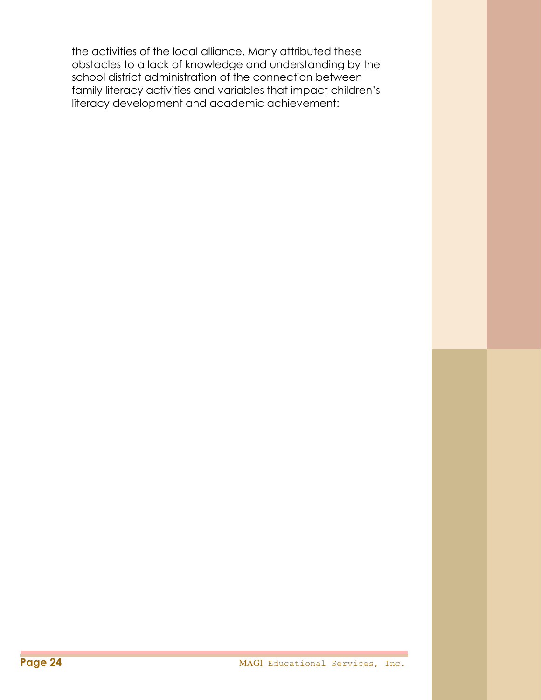the activities of the local alliance. Many attributed these obstacles to a lack of knowledge and understanding by the school district administration of the connection between family literacy activities and variables that impact children's literacy development and academic achievement: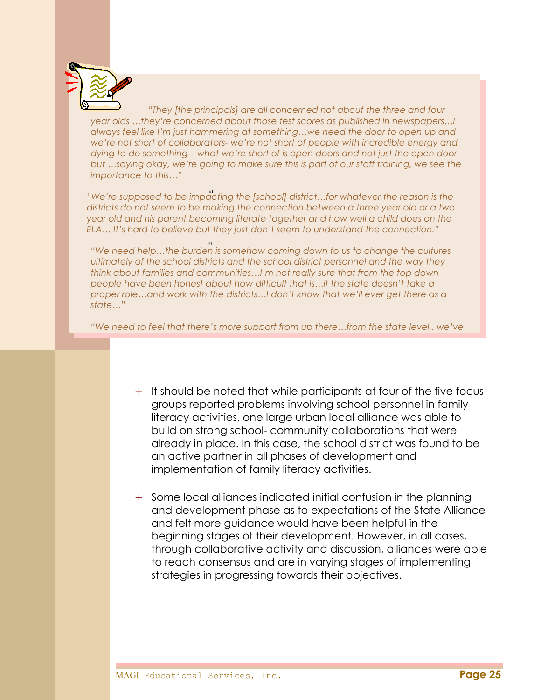

*"They [the principals] are all concerned not about the three and four year olds …they're concerned about those test scores as published in newspapers…I always feel like I'm just hammering at something…we need the door to open up and we're not short of collaborators- we're not short of people with incredible energy and dying to do something – what we're short of is open doors and not just the open door but …saying okay, we're going to make sure this is part of our staff training, we see the importance to this…"* 

"We're supposed to be impacting the [school] district...for whatever the reason is the *districts do not seem to be making the connection between a three year old or a two year old and his parent becoming literate together and how well a child does on the ELA… It's hard to believe but they just don't seem to understand the connection."* 

*"We need help…the burden is somehow coming down to us to change the cultures*  " *ultimately of the school districts and the school district personnel and the way they think about families and communities…I'm not really sure that from the top down people have been honest about how difficult that is…if the state doesn't take a proper role…and work with the districts…I don't know that we'll ever get there as a state…"* 

*"We need to feel that there's more support from up there...from the state level.. we've* 

- + It should be noted that while participants at four of the five focus groups reported problems involving school personnel in family literacy activities, one large urban local alliance was able to build on strong school- community collaborations that were already in place. In this case, the school district was found to be an active partner in all phases of development and implementation of family literacy activities.
- + Some local alliances indicated initial confusion in the planning and development phase as to expectations of the State Alliance and felt more guidance would have been helpful in the beginning stages of their development. However, in all cases, through collaborative activity and discussion, alliances were able to reach consensus and are in varying stages of implementing strategies in progressing towards their objectives.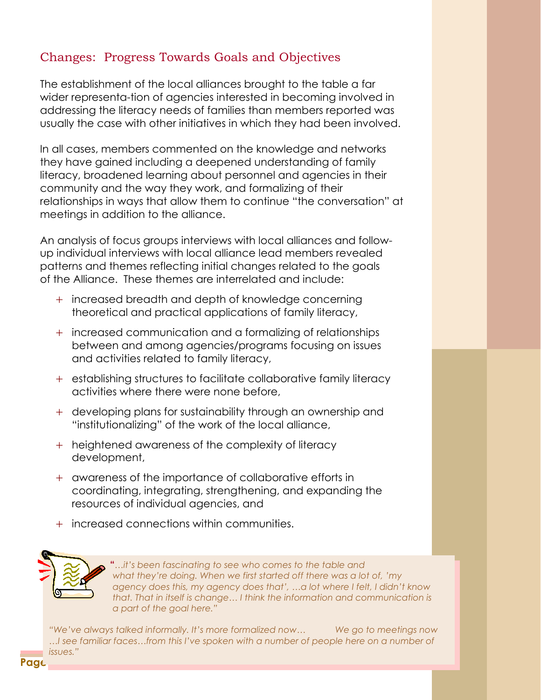# Changes: Progress Towards Goals and Objectives

The establishment of the local alliances brought to the table a far wider representa-tion of agencies interested in becoming involved in addressing the literacy needs of families than members reported was usually the case with other initiatives in which they had been involved.

In all cases, members commented on the knowledge and networks they have gained including a deepened understanding of family literacy, broadened learning about personnel and agencies in their community and the way they work, and formalizing of their relationships in ways that allow them to continue "the conversation" at meetings in addition to the alliance.

An analysis of focus groups interviews with local alliances and followup individual interviews with local alliance lead members revealed patterns and themes reflecting initial changes related to the goals of the Alliance. These themes are interrelated and include:

- + increased breadth and depth of knowledge concerning theoretical and practical applications of family literacy,
- + increased communication and a formalizing of relationships between and among agencies/programs focusing on issues and activities related to family literacy,
- + establishing structures to facilitate collaborative family literacy activities where there were none before,
- + developing plans for sustainability through an ownership and "institutionalizing" of the work of the local alliance,
- + heightened awareness of the complexity of literacy development,
- + awareness of the importance of collaborative efforts in coordinating, integrating, strengthening, and expanding the resources of individual agencies, and
- + increased connections within communities.



 **"***…it's been fascinating to see who comes to the table and what they're doing. When we first started off there was a lot of, 'my agency does this, my agency does that', …a lot where I felt, I didn't know that. That in itself is change… I think the information and communication is a part of the goal here."* 

*"We've always talked informally. It's more formalized now… We go to meetings now …I see familiar faces…from this I've spoken with a number of people here on a number of issues."*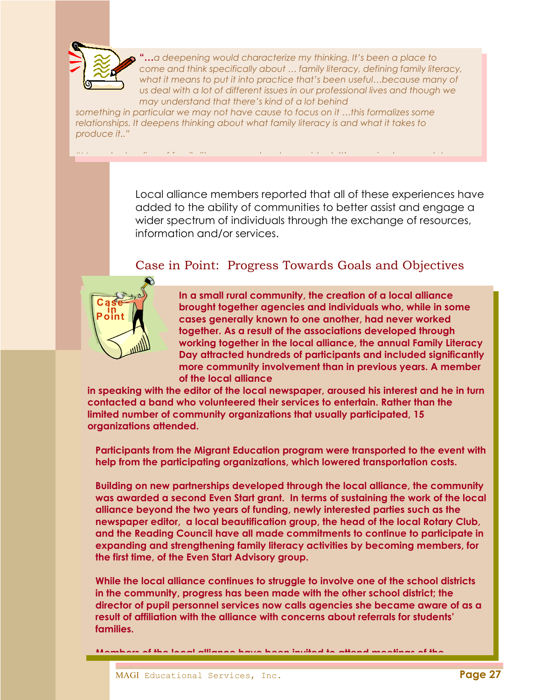

**"…***a deepening would characterize my thinking. It's been a place to come and think specifically about … family literacy, defining family literacy, what it means to put it into practice that's been useful…because many of us deal with a lot of different issues in our professional lives and though we may understand that there's kind of a lot behind* 

*something in particular we may not have cause to focus on it …this formalizes some relationships. It deepens thinking about what family literacy is and what it takes to produce it.."* 

*"M d t di f f il lit l t i t t It' i h h I* 

Local alliance members reported that all of these experiences have added to the ability of communities to better assist and engage a wider spectrum of individuals through the exchange of resources, information and/or services.

# Case in Point: Progress Towards Goals and Objectives

**Case in Case in Point**

**In a small rural community, the creation of a local alliance brought together agencies and individuals who, while in some cases generally known to one another, had never worked together. As a result of the associations developed through working together in the local alliance, the annual Family Literacy Day attracted hundreds of participants and included significantly more community involvement than in previous years. A member of the local alliance** 

**in speaking with the editor of the local newspaper, aroused his interest and he in turn contacted a band who volunteered their services to entertain. Rather than the limited number of community organizations that usually participated, 15 organizations attended.** 

**Participants from the Migrant Education program were transported to the event with help from the participating organizations, which lowered transportation costs.** 

**Building on new partnerships developed through the local alliance, the community was awarded a second Even Start grant. In terms of sustaining the work of the local alliance beyond the two years of funding, newly interested parties such as the newspaper editor, a local beautification group, the head of the local Rotary Club, and the Reading Council have all made commitments to continue to participate in expanding and strengthening family literacy activities by becoming members, for the first time, of the Even Start Advisory group.** 

**While the local alliance continues to struggle to involve one of the school districts in the community, progress has been made with the other school district; the director of pupil personnel services now calls agencies she became aware of as a result of affiliation with the alliance with concerns about referrals for students' families.** 

**Members of the local alliance have been invited to attend meetings of the**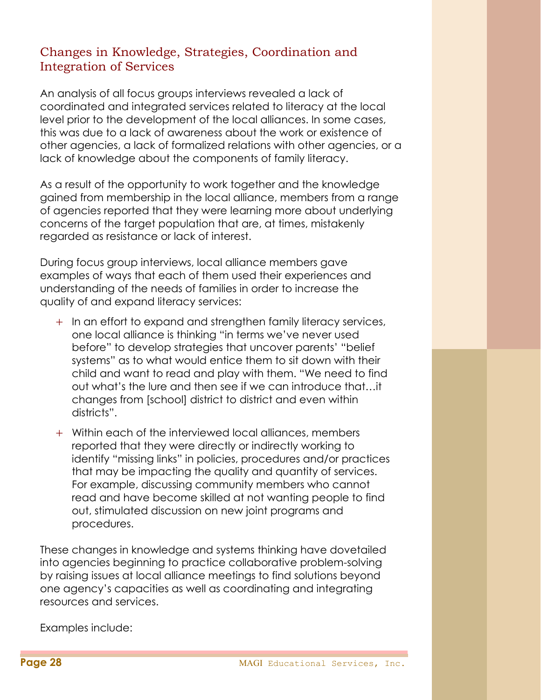# Changes in Knowledge, Strategies, Coordination and Integration of Services

An analysis of all focus groups interviews revealed a lack of coordinated and integrated services related to literacy at the local level prior to the development of the local alliances. In some cases, this was due to a lack of awareness about the work or existence of other agencies, a lack of formalized relations with other agencies, or a lack of knowledge about the components of family literacy.

As a result of the opportunity to work together and the knowledge gained from membership in the local alliance, members from a range of agencies reported that they were learning more about underlying concerns of the target population that are, at times, mistakenly regarded as resistance or lack of interest.

During focus group interviews, local alliance members gave examples of ways that each of them used their experiences and understanding of the needs of families in order to increase the quality of and expand literacy services:

- + In an effort to expand and strengthen family literacy services, one local alliance is thinking "in terms we've never used before" to develop strategies that uncover parents' "belief systems" as to what would entice them to sit down with their child and want to read and play with them. "We need to find out what's the lure and then see if we can introduce that…it changes from [school] district to district and even within districts".
- + Within each of the interviewed local alliances, members reported that they were directly or indirectly working to identify "missing links" in policies, procedures and/or practices that may be impacting the quality and quantity of services. For example, discussing community members who cannot read and have become skilled at not wanting people to find out, stimulated discussion on new joint programs and procedures.

These changes in knowledge and systems thinking have dovetailed into agencies beginning to practice collaborative problem-solving by raising issues at local alliance meetings to find solutions beyond one agency's capacities as well as coordinating and integrating resources and services.

Examples include: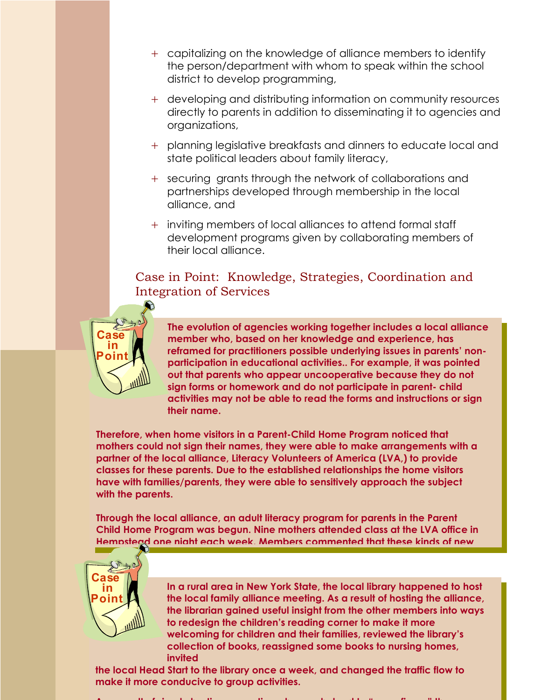- + capitalizing on the knowledge of alliance members to identify the person/department with whom to speak within the school district to develop programming,
- + developing and distributing information on community resources directly to parents in addition to disseminating it to agencies and organizations,
- + planning legislative breakfasts and dinners to educate local and state political leaders about family literacy,
- + securing grants through the network of collaborations and partnerships developed through membership in the local alliance, and
- + inviting members of local alliances to attend formal staff development programs given by collaborating members of their local alliance.

# Case in Point: Knowledge, Strategies, Coordination and Integration of Services



**The evolution of agencies working together includes a local alliance member who, based on her knowledge and experience, has reframed for practitioners possible underlying issues in parents' nonparticipation in educational activities.. For example, it was pointed out that parents who appear uncooperative because they do not sign forms or homework and do not participate in parent- child activities may not be able to read the forms and instructions or sign their name.** 

**Therefore, when home visitors in a Parent-Child Home Program noticed that mothers could not sign their names, they were able to make arrangements with a partner of the local alliance, Literacy Volunteers of America (LVA,) to provide classes for these parents. Due to the established relationships the home visitors have with families/parents, they were able to sensitively approach the subject with the parents.** 

**Through the local alliance, an adult literacy program for parents in the Parent Child Home Program was begun. Nine mothers attended class at the LVA office in Hempstead one night each week. Members commented that these kinds of new** 



**In a rural area in New York State, the local library happened to host the local family alliance meeting. As a result of hosting the alliance, the librarian gained useful insight from the other members into ways to redesign the children's reading corner to make it more welcoming for children and their families, reviewed the library's collection of books, reassigned some books to nursing homes, invited** 

the local Head Start to the library once a week, and changed the traffic flow to **page 20**<br>matter it may accept this to may a stituities **make it more conducive to group activities.** 

**A lt f i l h ti ti h h l d t " fi " th**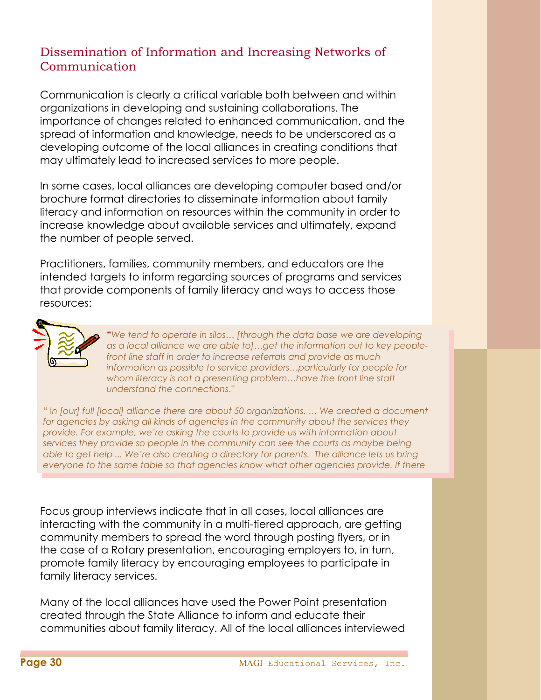# Dissemination of Information and Increasing Networks of Communication

Communication is clearly a critical variable both between and within organizations in developing and sustaining collaborations. The importance of changes related to enhanced communication, and the spread of information and knowledge, needs to be underscored as a developing outcome of the local alliances in creating conditions that may ultimately lead to increased services to more people.

In some cases, local alliances are developing computer based and/or brochure format directories to disseminate information about family literacy and information on resources within the community in order to increase knowledge about available services and ultimately, expand the number of people served.

Practitioners, families, community members, and educators are the intended targets to inform regarding sources of programs and services that provide components of family literacy and ways to access those resources:



**"***We tend to operate in silos… [through the data base we are developing as a local alliance we are able to]…get the information out to key peoplefront line staff in order to increase referrals and provide as much information as possible to service providers…particularly for people for whom literacy is not a presenting problem…have the front line staff understand the connections*."

*"* I*n [our] full [local] alliance there are about 50 organizations. … We created a document*  for agencies by asking all kinds of agencies in the community about the services they *provide. For example, we're asking the courts to provide us with information about services they provide so people in the community can see the courts as maybe being able to get help ... We're also creating a directory for parents. The alliance lets us bring everyone to the same table so that agencies know what other agencies provide. If there* 

Focus group interviews indicate that in all cases, local alliances are interacting with the community in a multi-tiered approach, are getting community members to spread the word through posting flyers, or in the case of a Rotary presentation, encouraging employers to, in turn, promote family literacy by encouraging employees to participate in family literacy services.

Many of the local alliances have used the Power Point presentation created through the State Alliance to inform and educate their communities about family literacy. All of the local alliances interviewed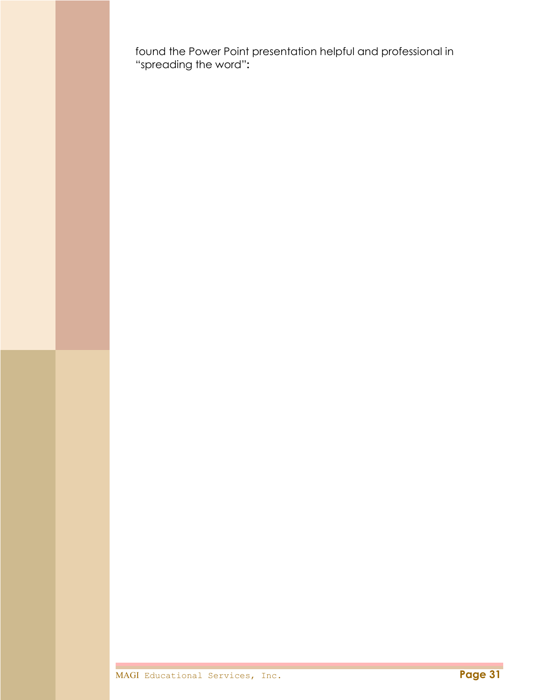found the Power Point presentation helpful and professional in "spreading the word"**:**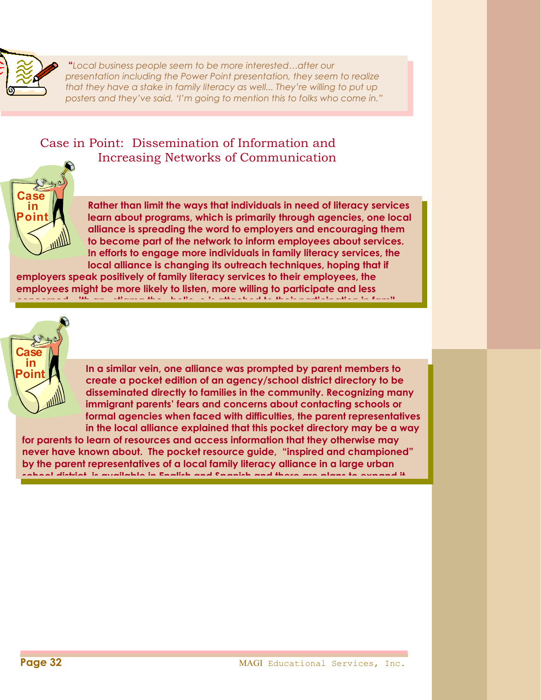

 **"***Local business people seem to be more interested…after our presentation including the Power Point presentation, they seem to realize that they have a stake in family literacy as well... They're willing to put up posters and they've said, 'I'm going to mention this to folks who come in."* 

# Case in Point: Dissemination of Information and Increasing Networks of Communication



**Rather than limit the ways that individuals in need of literacy services learn about programs, which is primarily through agencies, one local alliance is spreading the word to employers and encouraging them to become part of the network to inform employees about services. In efforts to engage more individuals in family literacy services, the local alliance is changing its outreach techniques, hoping that if** 

**employers speak positively of family literacy services to their employees, the employees might be more likely to listen, more willing to participate and less concerned ith an stigma the belie e is attached to their participation in famil** 



**In a similar vein, one alliance was prompted by parent members to create a pocket edition of an agency/school district directory to be disseminated directly to families in the community. Recognizing many immigrant parents' fears and concerns about contacting schools or formal agencies when faced with difficulties, the parent representatives in the local alliance explained that this pocket directory may be a way**

**for parents to learn of resources and access information that they otherwise may never have known about. The pocket resource guide, "inspired and championed" by the parent representatives of a local family literacy alliance in a large urban school district is available in English and Spanish and there are plans to expand it**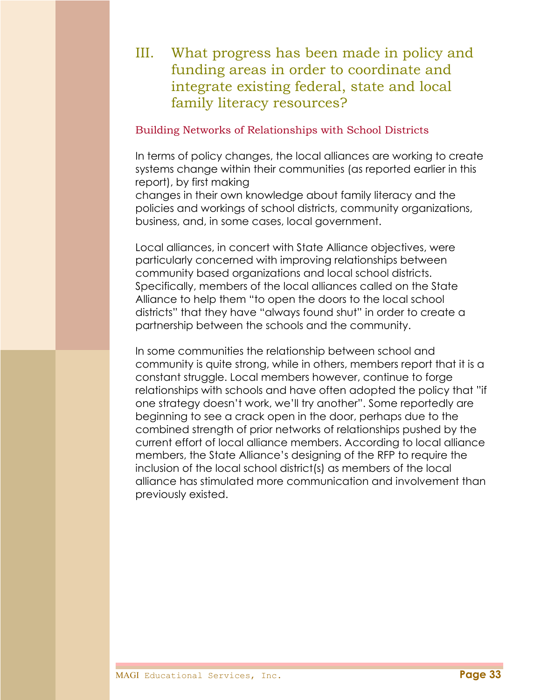III. What progress has been made in policy and funding areas in order to coordinate and integrate existing federal, state and local family literacy resources?

#### Building Networks of Relationships with School Districts

In terms of policy changes, the local alliances are working to create systems change within their communities (as reported earlier in this report), by first making

changes in their own knowledge about family literacy and the policies and workings of school districts, community organizations, business, and, in some cases, local government.

Local alliances, in concert with State Alliance objectives, were particularly concerned with improving relationships between community based organizations and local school districts. Specifically, members of the local alliances called on the State Alliance to help them "to open the doors to the local school districts" that they have "always found shut" in order to create a partnership between the schools and the community.

In some communities the relationship between school and community is quite strong, while in others, members report that it is a constant struggle. Local members however, continue to forge relationships with schools and have often adopted the policy that "if one strategy doesn't work, we'll try another". Some reportedly are beginning to see a crack open in the door, perhaps due to the combined strength of prior networks of relationships pushed by the current effort of local alliance members. According to local alliance members, the State Alliance's designing of the RFP to require the inclusion of the local school district(s) as members of the local alliance has stimulated more communication and involvement than previously existed.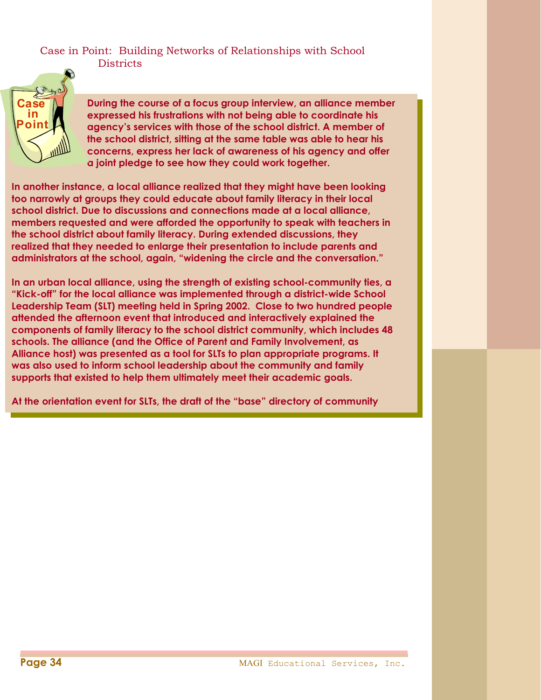#### Case in Point: Building Networks of Relationships with School **Districts**



**During the course of a focus group interview, an alliance member expressed his frustrations with not being able to coordinate his agency's services with those of the school district. A member of the school district, sitting at the same table was able to hear his concerns, express her lack of awareness of his agency and offer a joint pledge to see how they could work together.** 

**In another instance, a local alliance realized that they might have been looking too narrowly at groups they could educate about family literacy in their local school district. Due to discussions and connections made at a local alliance, members requested and were afforded the opportunity to speak with teachers in the school district about family literacy. During extended discussions, they realized that they needed to enlarge their presentation to include parents and administrators at the school, again, "widening the circle and the conversation."** 

**In an urban local alliance, using the strength of existing school-community ties, a "Kick-off" for the local alliance was implemented through a district-wide School Leadership Team (SLT) meeting held in Spring 2002. Close to two hundred people attended the afternoon event that introduced and interactively explained the components of family literacy to the school district community, which includes 48 schools. The alliance (and the Office of Parent and Family Involvement, as Alliance host) was presented as a tool for SLTs to plan appropriate programs. It was also used to inform school leadership about the community and family supports that existed to help them ultimately meet their academic goals.** 

**At the orientation event for SLTs, the draft of the "base" directory of community**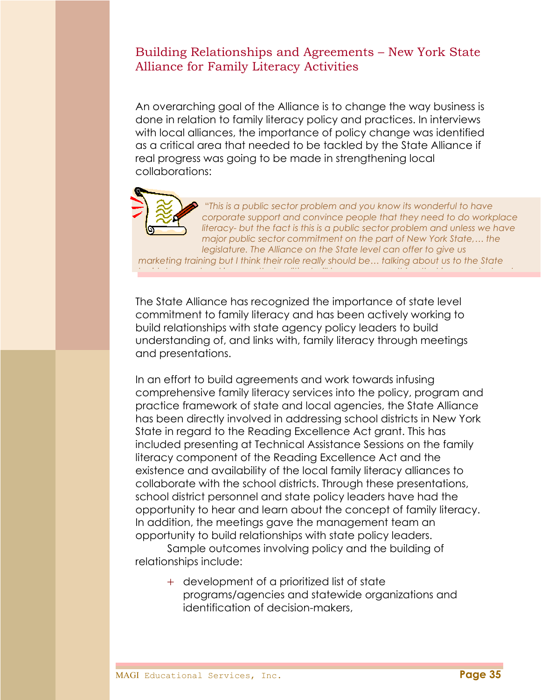# Building Relationships and Agreements – New York State Alliance for Family Literacy Activities

An overarching goal of the Alliance is to change the way business is done in relation to family literacy policy and practices. In interviews with local alliances, the importance of policy change was identified as a critical area that needed to be tackled by the State Alliance if real progress was going to be made in strengthening local collaborations:



"*This is a public sector problem and you know its wonderful to have corporate support and convince people that they need to do workplace literacy- but the fact is this is a public sector problem and unless we have major public sector commitment on the part of New York State,… the legislature. The Alliance on the State level can offer to give us marketing training but I think their role really should be… talking about us to the State* 

The State Alliance has recognized the importance of state level commitment to family literacy and has been actively working to build relationships with state agency policy leaders to build understanding of, and links with, family literacy through meetings and presentations.

*l i l t d ki th t liti l ill b thi th t i t d d* 

In an effort to build agreements and work towards infusing comprehensive family literacy services into the policy, program and practice framework of state and local agencies, the State Alliance has been directly involved in addressing school districts in New York State in regard to the Reading Excellence Act grant. This has included presenting at Technical Assistance Sessions on the family literacy component of the Reading Excellence Act and the existence and availability of the local family literacy alliances to collaborate with the school districts. Through these presentations, school district personnel and state policy leaders have had the opportunity to hear and learn about the concept of family literacy. In addition, the meetings gave the management team an opportunity to build relationships with state policy leaders.

 Sample outcomes involving policy and the building of relationships include:

> + development of a prioritized list of state programs/agencies and statewide organizations and identification of decision-makers,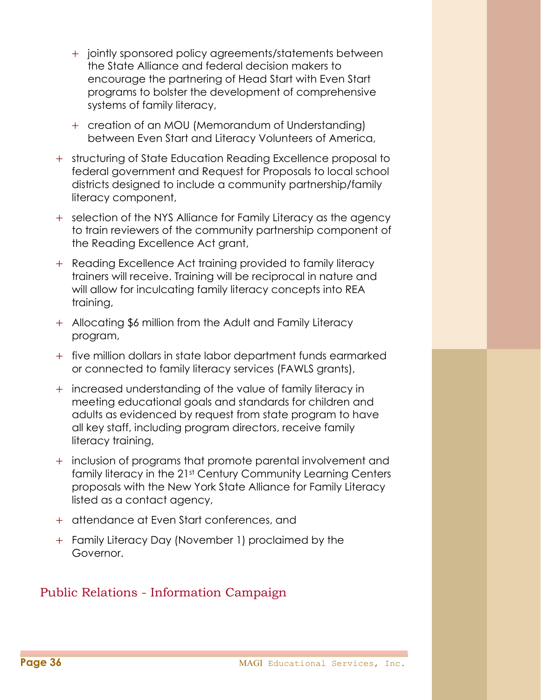- + jointly sponsored policy agreements/statements between the State Alliance and federal decision makers to encourage the partnering of Head Start with Even Start programs to bolster the development of comprehensive systems of family literacy,
- + creation of an MOU (Memorandum of Understanding) between Even Start and Literacy Volunteers of America,
- + structuring of State Education Reading Excellence proposal to federal government and Request for Proposals to local school districts designed to include a community partnership/family literacy component,
- + selection of the NYS Alliance for Family Literacy as the agency to train reviewers of the community partnership component of the Reading Excellence Act grant,
- + Reading Excellence Act training provided to family literacy trainers will receive. Training will be reciprocal in nature and will allow for inculcating family literacy concepts into REA training,
- + Allocating \$6 million from the Adult and Family Literacy program,
- + five million dollars in state labor department funds earmarked or connected to family literacy services (FAWLS grants),
- + increased understanding of the value of family literacy in meeting educational goals and standards for children and adults as evidenced by request from state program to have all key staff, including program directors, receive family literacy training,
- + inclusion of programs that promote parental involvement and family literacy in the 21<sup>st</sup> Century Community Learning Centers proposals with the New York State Alliance for Family Literacy listed as a contact agency,
- + attendance at Even Start conferences, and
- + Family Literacy Day (November 1) proclaimed by the Governor.

# Public Relations - Information Campaign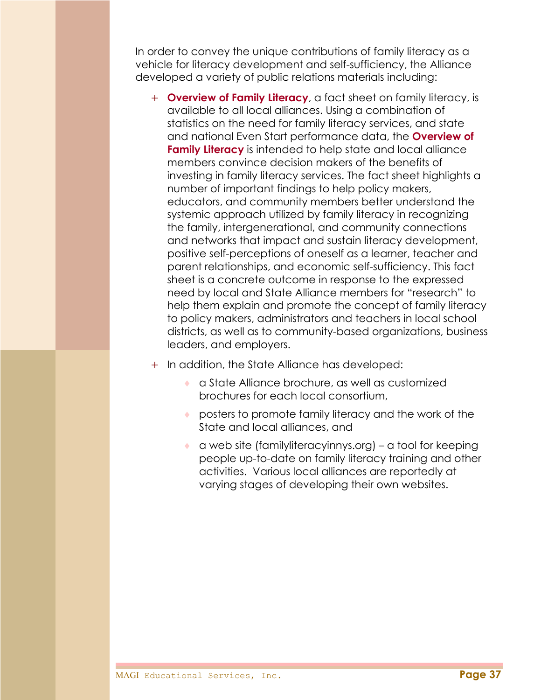In order to convey the unique contributions of family literacy as a vehicle for literacy development and self-sufficiency, the Alliance developed a variety of public relations materials including:

- + **Overview of Family Literacy**, a fact sheet on family literacy, is available to all local alliances. Using a combination of statistics on the need for family literacy services, and state and national Even Start performance data, the **Overview of Family Literacy** is intended to help state and local alliance members convince decision makers of the benefits of investing in family literacy services. The fact sheet highlights a number of important findings to help policy makers, educators, and community members better understand the systemic approach utilized by family literacy in recognizing the family, intergenerational, and community connections and networks that impact and sustain literacy development, positive self-perceptions of oneself as a learner, teacher and parent relationships, and economic self-sufficiency. This fact sheet is a concrete outcome in response to the expressed need by local and State Alliance members for "research" to help them explain and promote the concept of family literacy to policy makers, administrators and teachers in local school districts, as well as to community-based organizations, business leaders, and employers.
- + In addition, the State Alliance has developed:
	- ♦ a State Alliance brochure, as well as customized brochures for each local consortium,
	- ♦ posters to promote family literacy and the work of the State and local alliances, and
	- $\bullet$  a web site (familyliteracyinnys.org) a tool for keeping people up-to-date on family literacy training and other activities. Various local alliances are reportedly at varying stages of developing their own websites.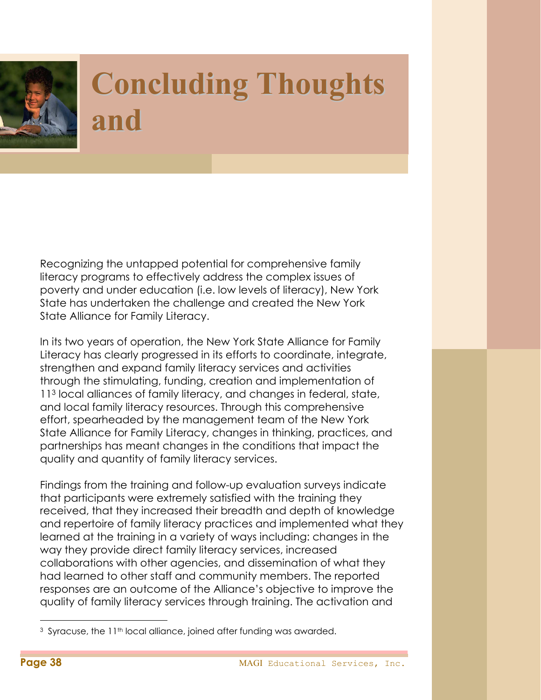# **Concluding Thoughts and**

Recognizing the untapped potential for comprehensive family literacy programs to effectively address the complex issues of poverty and under education (i.e. low levels of literacy), New York State has undertaken the challenge and created the New York State Alliance for Family Literacy.

In its two years of operation, the New York State Alliance for Family Literacy has clearly progressed in its efforts to coordinate, integrate, strengthen and expand family literacy services and activities through the stimulating, funding, creation and implementation of 113 local alliances of family literacy, and changes in federal, state, and local family literacy resources. Through this comprehensive effort, spearheaded by the management team of the New York State Alliance for Family Literacy, changes in thinking, practices, and partnerships has meant changes in the conditions that impact the quality and quantity of family literacy services.

Findings from the training and follow-up evaluation surveys indicate that participants were extremely satisfied with the training they received, that they increased their breadth and depth of knowledge and repertoire of family literacy practices and implemented what they learned at the training in a variety of ways including: changes in the way they provide direct family literacy services, increased collaborations with other agencies, and dissemination of what they had learned to other staff and community members. The reported responses are an outcome of the Alliance's objective to improve the quality of family literacy services through training. The activation and

<u>.</u>

<sup>&</sup>lt;sup>3</sup> Syracuse, the 11<sup>th</sup> local alliance, joined after funding was awarded.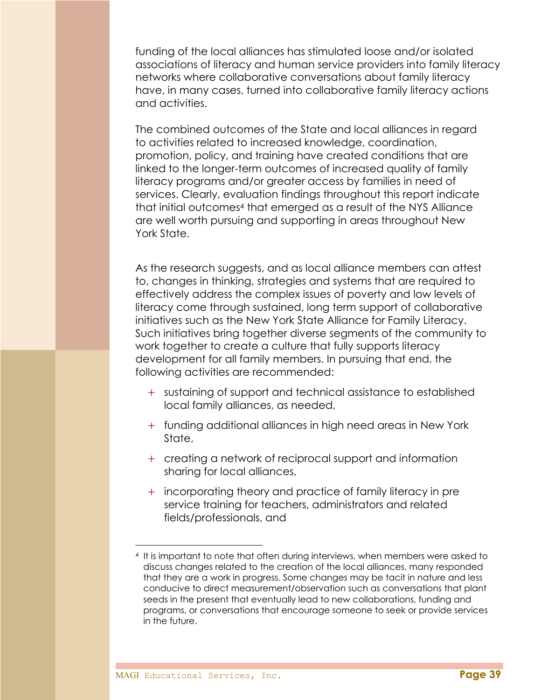funding of the local alliances has stimulated loose and/or isolated associations of literacy and human service providers into family literacy networks where collaborative conversations about family literacy have, in many cases, turned into collaborative family literacy actions and activities.

The combined outcomes of the State and local alliances in regard to activities related to increased knowledge, coordination, promotion, policy, and training have created conditions that are linked to the longer-term outcomes of increased quality of family literacy programs and/or greater access by families in need of services. Clearly, evaluation findings throughout this report indicate that initial outcomes4 that emerged as a result of the NYS Alliance are well worth pursuing and supporting in areas throughout New York State.

As the research suggests, and as local alliance members can attest to, changes in thinking, strategies and systems that are required to effectively address the complex issues of poverty and low levels of literacy come through sustained, long term support of collaborative initiatives such as the New York State Alliance for Family Literacy. Such initiatives bring together diverse segments of the community to work together to create a culture that fully supports literacy development for all family members. In pursuing that end, the following activities are recommended:

- + sustaining of support and technical assistance to established local family alliances, as needed,
- + funding additional alliances in high need areas in New York State,
- + creating a network of reciprocal support and information sharing for local alliances,
- + incorporating theory and practice of family literacy in pre service training for teachers, administrators and related fields/professionals, and

1

<sup>4</sup> It is important to note that often during interviews, when members were asked to discuss changes related to the creation of the local alliances, many responded that they are a work in progress. Some changes may be tacit in nature and less conducive to direct measurement/observation such as conversations that plant seeds in the present that eventually lead to new collaborations, funding and programs, or conversations that encourage someone to seek or provide services in the future.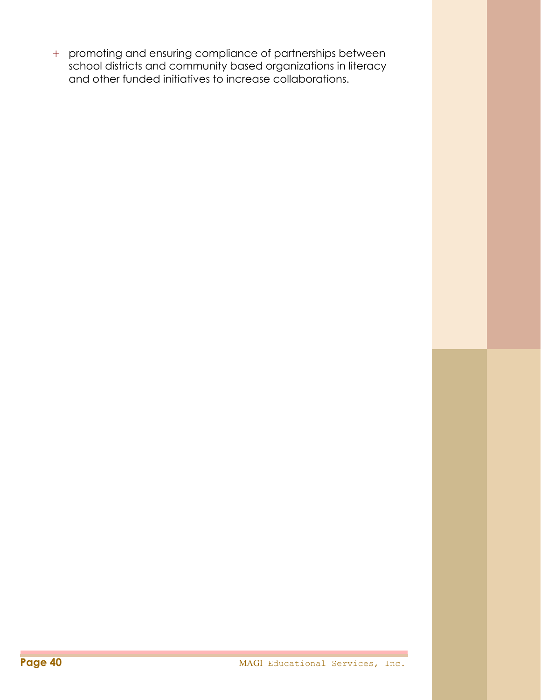+ promoting and ensuring compliance of partnerships between school districts and community based organizations in literacy and other funded initiatives to increase collaborations.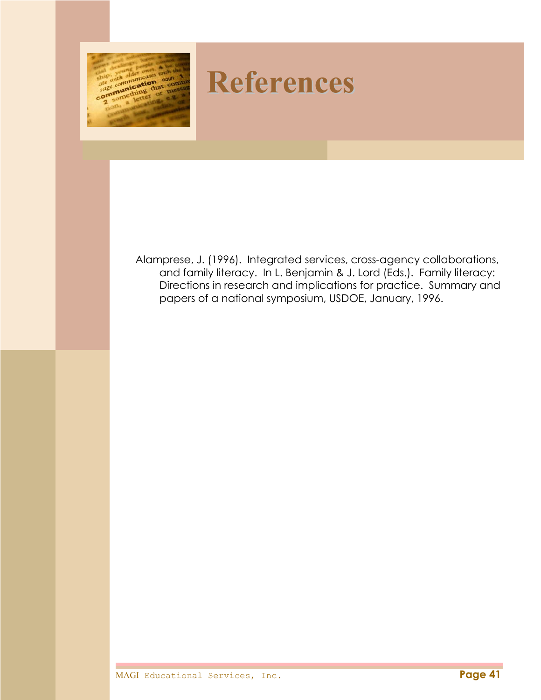

# **References**

Alamprese, J. (1996). Integrated services, cross-agency collaborations, and family literacy. In L. Benjamin & J. Lord (Eds.). Family literacy: Directions in research and implications for practice. Summary and papers of a national symposium, USDOE, January, 1996.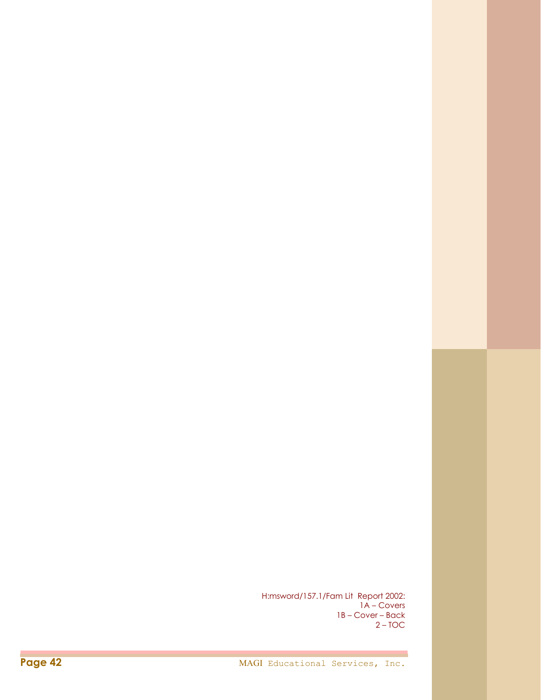H:msword/157.1/Fam Lit Report 2002: 1A – Covers 1B – Cover – Back 2 – TOC